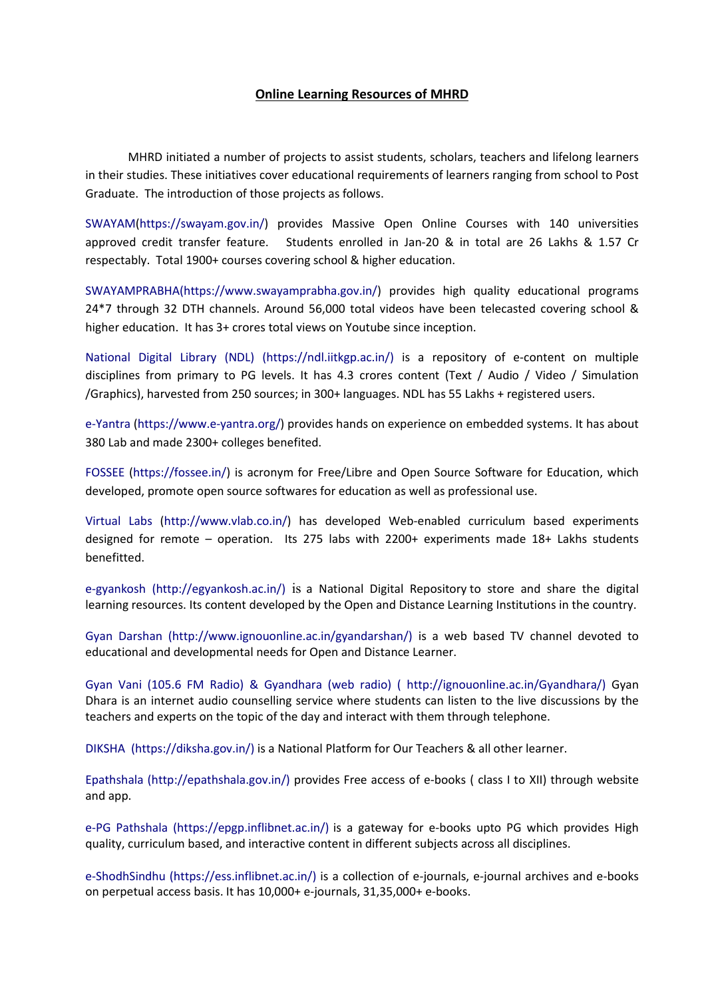## Online Learning Resources of MHRD

MHRD initiated a number of projects to assist students, scholars, teachers and lifelong learners in their studies. These initiatives cover educational requirements of learners ranging from school to Post Graduate. The introduction of those projects as follows.

SWAYAM(https://swayam.gov.in/) provides Massive Open Online Courses with 140 universities approved credit transfer feature. Students enrolled in Jan-20 & in total are 26 Lakhs & 1.57 Cr respectably. Total 1900+ courses covering school & higher education.

SWAYAMPRABHA(https://www.swayamprabha.gov.in/) provides high quality educational programs 24\*7 through 32 DTH channels. Around 56,000 total videos have been telecasted covering school & higher education. It has 3+ crores total views on Youtube since inception.

National Digital Library (NDL) (https://ndl.iitkgp.ac.in/) is a repository of e-content on multiple disciplines from primary to PG levels. It has 4.3 crores content (Text / Audio / Video / Simulation /Graphics), harvested from 250 sources; in 300+ languages. NDL has 55 Lakhs + registered users.

e-Yantra (https://www.e-yantra.org/) provides hands on experience on embedded systems. It has about 380 Lab and made 2300+ colleges benefited.

FOSSEE (https://fossee.in/) is acronym for Free/Libre and Open Source Software for Education, which developed, promote open source softwares for education as well as professional use.

[Virtual Labs](http://www.vlab.co.in/) [\(http://www.vlab.co.in/](http://www.vlab.co.in/)) has developed Web-enabled curriculum based experiments designed for remote – operation. Its 275 labs with 2200+ experiments made 18+ Lakhs students benefitted.

[e-gyankosh](http://egyankosh.ac.in/) (http://egyankosh.ac.in/) is a National Digital Repository to store and share the digital learning resources. Its content developed by the Open and Distance Learning Institutions in the country.

Gyan Darshan [\(http://www.ignouonline.ac.in/gyandarshan/](http://www.ignouonline.ac.in/gyandarshan/)) is a web based TV channel devoted to educational and developmental needs for Open and Distance Learner.

Gyan Vani (105.6 FM Radio) & Gyandhara (web radio) ( <http://ignouonline.ac.in/Gyandhara/>) Gyan Dhara is an internet audio counselling service where students can listen to the live discussions by the teachers and experts on the topic of the day and interact with them through telephone.

DIKSHA (https://diksha.gov.in/) is a National Platform for Our Teachers & all other learner.

Epathshala [\(http://epathshala.gov.in/](http://epathshala.gov.in/)) provides Free access of e-books ( class I to XII) through website and app.

e-PG Pathshala (https://epgp.inflibnet.ac.in/) is a gateway for e-books upto PG which provides High quality, curriculum based, and interactive content in different subjects across all disciplines.

e-ShodhSindhu (https://ess.inflibnet.ac.in/) is a collection of e-journals, e-journal archives and e-books on perpetual access basis. It has 10,000+ e-journals, 31,35,000+ e-books.